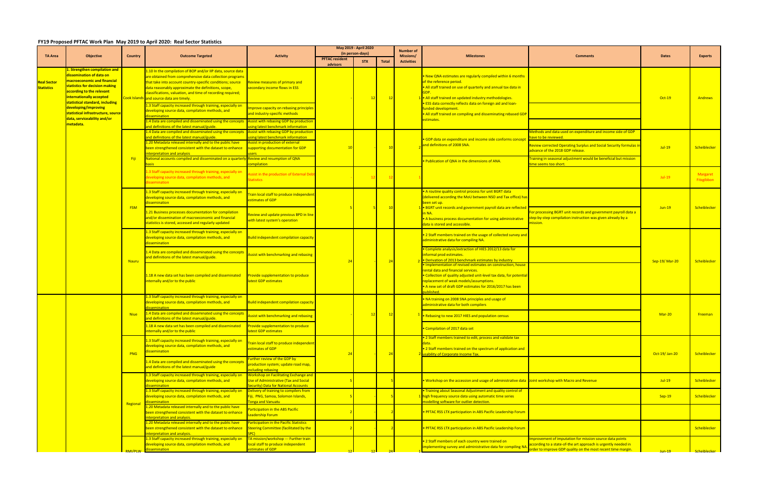## **FY19 Proposed PFTAC Work Plan May 2019 to April 2020: Real Sector Statistics**

|                                         | <b>Objective</b>                                                                                                                                                                                                                                                                                                                            | Country      | <b>Outcome Targeted</b>                                                                                                                                                                                                                                                                                                                                   | <b>Activity</b>                                                                                                                                                                                                                                                                                                                          | May 2019 - April 2020                     |            |                             | <b>Number of</b>  |                                                                                                                                                                                                                            |                                                                                                                                                                                                                                                                 |               |                        |
|-----------------------------------------|---------------------------------------------------------------------------------------------------------------------------------------------------------------------------------------------------------------------------------------------------------------------------------------------------------------------------------------------|--------------|-----------------------------------------------------------------------------------------------------------------------------------------------------------------------------------------------------------------------------------------------------------------------------------------------------------------------------------------------------------|------------------------------------------------------------------------------------------------------------------------------------------------------------------------------------------------------------------------------------------------------------------------------------------------------------------------------------------|-------------------------------------------|------------|-----------------------------|-------------------|----------------------------------------------------------------------------------------------------------------------------------------------------------------------------------------------------------------------------|-----------------------------------------------------------------------------------------------------------------------------------------------------------------------------------------------------------------------------------------------------------------|---------------|------------------------|
| <b>TA Area</b>                          |                                                                                                                                                                                                                                                                                                                                             |              |                                                                                                                                                                                                                                                                                                                                                           |                                                                                                                                                                                                                                                                                                                                          | (in person-days)<br><b>PFTAC resident</b> |            |                             | Missions/         | <b>Milestones</b>                                                                                                                                                                                                          | <b>Comments</b>                                                                                                                                                                                                                                                 | <b>Dates</b>  | <b>Experts</b>         |
|                                         |                                                                                                                                                                                                                                                                                                                                             |              |                                                                                                                                                                                                                                                                                                                                                           |                                                                                                                                                                                                                                                                                                                                          | advisors                                  | <b>STX</b> | <b>Total</b>                | <b>Activities</b> |                                                                                                                                                                                                                            |                                                                                                                                                                                                                                                                 |               |                        |
| <b>Real Sector</b><br><b>Statistics</b> | . Strengthen compilation and<br>dissemination of data on<br>macroeconomic and financial<br>statistics for decision making<br>according to the relevant<br>internationally accepted<br>statistical standard, including<br>developing/improving<br>statistical infrastructure, sourc<br>data, serviceability and/or<br><mark>metadata.</mark> |              | .10 In the compilation of BOP and/or IIP data, source data<br>are obtained from comprehensive data collection programs<br>that take into account country-specific conditions; source<br>data reasonably approximate the definitions, scope,<br>classifications, valuation, and time of recording required;<br>cook Islands and source data are timely.    | Review measures of primary and<br>secondary income flows in ESS                                                                                                                                                                                                                                                                          |                                           |            | $\frac{12}{2}$              |                   | New QNA estimates are regularly compiled within 6 months<br>of the reference period.<br>. All staff trained on use of quarterly and annual tax data in<br>. All staff trained on updated industry methodologies.           |                                                                                                                                                                                                                                                                 | $Oct-19$      | <b>Andrews</b>         |
|                                         |                                                                                                                                                                                                                                                                                                                                             |              | 1.3 Staff capacity increased through training, especially on<br>developing source data, compilation methods, and<br>lissemination<br>1.4 Data are compiled and disseminated using the concepts<br>and definitions of the latest manual/guide.                                                                                                             | nprove capacity on rebasing principle<br>ind industry-specific methods<br>ssist with rebasing GDP by production<br>sing latest benchmark information                                                                                                                                                                                     |                                           |            |                             |                   | <b>• ESS data correctly reflects data on foreign aid and loan-</b><br>unded development.<br>All staff trained on compiling and disseminating rebased GDP<br>stimates.                                                      |                                                                                                                                                                                                                                                                 |               |                        |
|                                         |                                                                                                                                                                                                                                                                                                                                             | - Fiji       | 1.4 Data are compiled and disseminated using the concepts<br>and definitions of the latest manual/guide.<br>1.20 Metadata released internally and to the public have<br>been strengthened consistent with the dataset to enhance<br>nterpretation and analysis<br>National accounts compiled and disseminated on a quarterly Review and resumption of QNA | <b>Assist with rebasing GDP by production</b><br>sing latest benchmark information<br>Assist in production of external<br>supporting documentation for GDP                                                                                                                                                                               |                                           |            | 10                          |                   | GDP data on expenditure and income side conforms concep<br>and definitions of 2008 SNA.                                                                                                                                    | Methods and data used on expenditure and income side of GDP<br>have to be reviewed.<br>Review corrected Operating Surplus and Social Security formulas in<br>advance of the 2018 GDP release.<br>raining in seasonal adjustment would be beneficial but mission | $Jul-19$      | Scheiblecker           |
|                                         |                                                                                                                                                                                                                                                                                                                                             |              | asis<br>1.3 Staff capacity increased through training, especially on<br>developing source data, compilation methods, and<br>dissemination                                                                                                                                                                                                                 | mpilation<br>ssist in the production of External Deb<br>tatistics                                                                                                                                                                                                                                                                        |                                           | 12         | $\overline{\phantom{0}}$ 12 |                   | Publication of QNA in the dimensions of ANA.                                                                                                                                                                               | ime seems too short.                                                                                                                                                                                                                                            | $Jul-19$      | Margaret<br>Fitzgibbon |
|                                         |                                                                                                                                                                                                                                                                                                                                             | <b>FSM</b>   | 1.3 Staff capacity increased through training, especially on<br>developing source data, compilation methods, and<br>dissemination<br>1.21 Business processes documentation for compilatior                                                                                                                                                                | rain local staff to produce independent<br>estimates of GDP                                                                                                                                                                                                                                                                              |                                           |            | $\overline{10}$             |                   | A routine quality control process for unit BGRT data<br>(delivered according the MoU between NSO and Tax office) has<br>been set up.<br>• BGRT unit records and government payroll data are reflected                      | For processing BGRT unit records and government payroll data a<br>step-by-step compilation instruction was given already by a<br>nission.                                                                                                                       | $Jun-19$      | Scheiblecker           |
|                                         |                                                                                                                                                                                                                                                                                                                                             |              | and/or dissemination of macroeconomic and financial<br>statistics is stored, accessed and regularly updated                                                                                                                                                                                                                                               | <b>Review and update previous BPD in line</b><br>vith latest system's operation                                                                                                                                                                                                                                                          |                                           |            |                             |                   | • A business process documentation for using administrative<br>data is stored and accessible.                                                                                                                              |                                                                                                                                                                                                                                                                 |               |                        |
|                                         |                                                                                                                                                                                                                                                                                                                                             | <b>Nauru</b> | 1.3 Staff capacity increased through training, especially on<br>developing source data, compilation methods, and<br>dissemination                                                                                                                                                                                                                         | <b>Build independent compilation capacity</b>                                                                                                                                                                                                                                                                                            |                                           |            |                             |                   | • 2 Staff members trained on the usage of collected survey and<br>administrative data for compiling NA.                                                                                                                    |                                                                                                                                                                                                                                                                 | Sep-19/Mar-20 | Scheiblecker           |
|                                         |                                                                                                                                                                                                                                                                                                                                             |              | 1.4 Data are compiled and disseminated using the concepts<br>and definitions of the latest manual/guide.                                                                                                                                                                                                                                                  | ssist with benchmarking and rebasing                                                                                                                                                                                                                                                                                                     |                                           |            | $-24$                       |                   | Complete analysis/extraction of HIES 2012/13 data for<br>informal prod estimates.<br>. Derivation of 2013 benchmark estimates by industry.<br>Implementation of revised estimates on construction, house                   |                                                                                                                                                                                                                                                                 |               |                        |
|                                         |                                                                                                                                                                                                                                                                                                                                             |              | 1.18 A new data set has been compiled and disseminated<br>internally and/or to the public                                                                                                                                                                                                                                                                 | rovide supplementation to produce<br>latest GDP estimates                                                                                                                                                                                                                                                                                |                                           |            |                             |                   | rental data and financial services.<br>Collection of quality adjusted unit-level tax data, for potentia<br>replacement of weak models/assumptions.<br>A new set of draft GDP estimates for 2016/2017 has been<br>ublished. |                                                                                                                                                                                                                                                                 |               |                        |
|                                         |                                                                                                                                                                                                                                                                                                                                             | <b>Niue</b>  | 1.3 Staff capacity increased through training, especially on<br>developing source data, compilation methods, and<br>dissemination                                                                                                                                                                                                                         | Build independent compilation capacity                                                                                                                                                                                                                                                                                                   |                                           | <u> 12</u> |                             |                   | NA training on 2008 SNA principles and usage of<br>administrative data for both compilers                                                                                                                                  |                                                                                                                                                                                                                                                                 |               | Freeman                |
|                                         |                                                                                                                                                                                                                                                                                                                                             |              | .4 Data are compiled and disseminated using the concepts<br>and definitions of the latest manual/guide.<br>.18 A new data set has been compiled and disseminated                                                                                                                                                                                          | ssist with benchmarking and rebasing<br>Provide supplementation to produce                                                                                                                                                                                                                                                               |                                           |            | $\frac{12}{2}$              |                   | $\frac{1}{1}$ • Rebasing to new 2017 HIES and population census<br>Compilation of 2017 data set                                                                                                                            |                                                                                                                                                                                                                                                                 | $Mar-20$      |                        |
|                                         |                                                                                                                                                                                                                                                                                                                                             | PNG          | nternally and/or to the public<br>1.3 Staff capacity increased through training, especially on<br>developing source data, compilation methods, and                                                                                                                                                                                                        | atest GDP estimates<br><b>Train local staff to produce independent</b>                                                                                                                                                                                                                                                                   |                                           |            |                             |                   | . 2 Staff members trained to edit, process and validate tax                                                                                                                                                                |                                                                                                                                                                                                                                                                 |               |                        |
|                                         |                                                                                                                                                                                                                                                                                                                                             |              | dissemination<br>1.4 Data are compiled and disseminated using the concepts                                                                                                                                                                                                                                                                                | estimates of GDP<br>urther review of the GDP by<br>production system; update road map,                                                                                                                                                                                                                                                   |                                           |            | $\frac{2}{2}$               |                   | . 2 Staff members trained on the spectrum of application and<br>usability of Corporate Income Tax.                                                                                                                         |                                                                                                                                                                                                                                                                 | Oct-19/Jan-20 | Scheiblecker           |
|                                         |                                                                                                                                                                                                                                                                                                                                             | Regional     | and definitions of the latest manual/guide<br>1.3 Staff capacity increased through training, especially on<br>developing source data, compilation methods, and                                                                                                                                                                                            | ncluding rebasing<br><b>Workshop on Facilitating Exchange and</b><br>Use of Administrative (Tax and Social                                                                                                                                                                                                                               |                                           |            |                             |                   | Or Workshop on the accession and usage of administrative data Joint workshop with Macro and Revenue                                                                                                                        |                                                                                                                                                                                                                                                                 | $Jul-19$      | Scheiblecker           |
|                                         |                                                                                                                                                                                                                                                                                                                                             |              | dissemination<br>1.3 Staff capacity increased through training, especially on<br>developing source data, compilation methods, and<br><i>issemination</i>                                                                                                                                                                                                  | <b>Example 20 Fig. 20 Fig. 20 Fig. 20 Fig. 20 Fig. 20 Fig. 20 Fig. 20 Fig. 20 Fig. 20 Fig. 20 Fig. 20 Fig. 20 Fig. 20 Fig. 20 Fig. 20 Fig. 20 Fig. 20 Fig. 20 Fig. 20 Fig. 20 Fig. 20 Fig. 20 Fig. 20 Fig. 20 Fig. 20 Fig. 20 Fi</b><br>Delivery of training to compilers from<br>Fiji, PNG, Samoa, Solomon Islands,<br>onga and Vanuatu |                                           |            |                             |                   | Training about Seasonal Adjustment and quality control of<br>high frequency source data using automatic time series<br>nodelling software for outlier detection.                                                           |                                                                                                                                                                                                                                                                 | $Sep-19$      | Scheiblecker           |
|                                         |                                                                                                                                                                                                                                                                                                                                             |              | 1.20 Metadata released internally and to the public have<br>been strengthened consistent with the dataset to enhance<br>nterpretation and analysis.                                                                                                                                                                                                       | articipation in the ABS Pacific<br>eadership Forum                                                                                                                                                                                                                                                                                       |                                           |            |                             |                   | <b>PFTAC RSS LTX participation in ABS Pacific Leadership Forum</b>                                                                                                                                                         |                                                                                                                                                                                                                                                                 |               |                        |
|                                         |                                                                                                                                                                                                                                                                                                                                             |              | 1.20 Metadata released internally and to the public have<br>been strengthened consistent with the dataset to enhance<br>nterpretation and analysis.<br>1.3 Staff capacity increased through training, especially on                                                                                                                                       | articipation in the Pacific Statistics<br><b>Steering Committee (facilitated by the</b><br>PC)<br>TA mission/workshop --- Further train                                                                                                                                                                                                  |                                           |            |                             |                   | · PFTAC RSS LTX participation in ABS Pacific Leadership Forum                                                                                                                                                              | mprovement of imputation for mission source data points                                                                                                                                                                                                         |               | Scheiblecker           |
|                                         |                                                                                                                                                                                                                                                                                                                                             | RMI/PLW      | developing source data, compilation methods, and<br>dissemination                                                                                                                                                                                                                                                                                         | local staff to produce independent<br>stimates of GDP                                                                                                                                                                                                                                                                                    |                                           |            |                             |                   | 2 Staff members of each country were trained on<br>mplementing survey and administrative data for compiling N                                                                                                              | according to a state-of-the art approach is urgently needed in<br>order to improve GDP quality on the most recent time margin.                                                                                                                                  | $Jun-19$      | Scheiblecker I         |